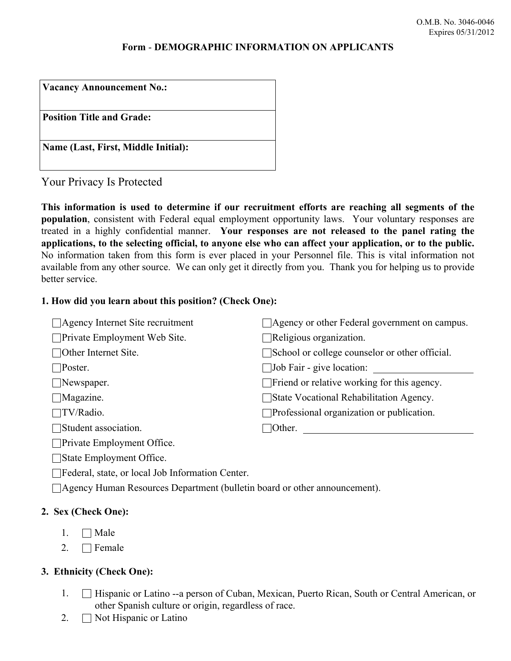# **Form** - **DEMOGRAPHIC INFORMATION ON APPLICANTS**

| <b>Vacancy Announcement No.:</b> |  |
|----------------------------------|--|
| <b>Position Title and Grade:</b> |  |

**Name (Last, First, Middle Initial):**

Your Privacy Is Protected

**This information is used to determine if our recruitment efforts are reaching all segments of the population**, consistent with Federal equal employment opportunity laws. Your voluntary responses are treated in a highly confidential manner. **Your responses are not released to the panel rating the applications, to the selecting official, to anyone else who can affect your application, or to the public.** No information taken from this form is ever placed in your Personnel file. This is vital information not available from any other source. We can only get it directly from you. Thank you for helping us to provide better service.

### **1. How did you learn about this position? (Check One):**

| $\Box$ Agency Internet Site recruitment | □ Agency or other Federal government on campus.       |
|-----------------------------------------|-------------------------------------------------------|
| $\Box$ Private Employment Web Site.     | $\Box$ Religious organization.                        |
| $\Box$ Other Internet Site.             | $\Box$ School or college counselor or other official. |
| $\Box$ Poster.                          | $\Box$ Job Fair - give location:                      |
| $\Box$ Newspaper.                       | $\Box$ Friend or relative working for this agency.    |
| $\Box$ Magazine.                        | □ State Vocational Rehabilitation Agency.             |
| $\Box$ TV/Radio.                        | $\Box$ Professional organization or publication.      |
| $\Box$ Student association.             | $\Box$ Other.                                         |
|                                         |                                                       |

□Private Employment Office.

- State Employment Office.
- Federal, state, or local Job Information Center.

□Agency Human Resources Department (bulletin board or other announcement).

## **2. Sex (Check One):**

- 1.  $\Box$  Male
- 2.  $\Box$  Female

## **3. Ethnicity (Check One):**

- 1. □ Hispanic or Latino --a person of Cuban, Mexican, Puerto Rican, South or Central American, or other Spanish culture or origin, regardless of race.
- 2. Not Hispanic or Latino